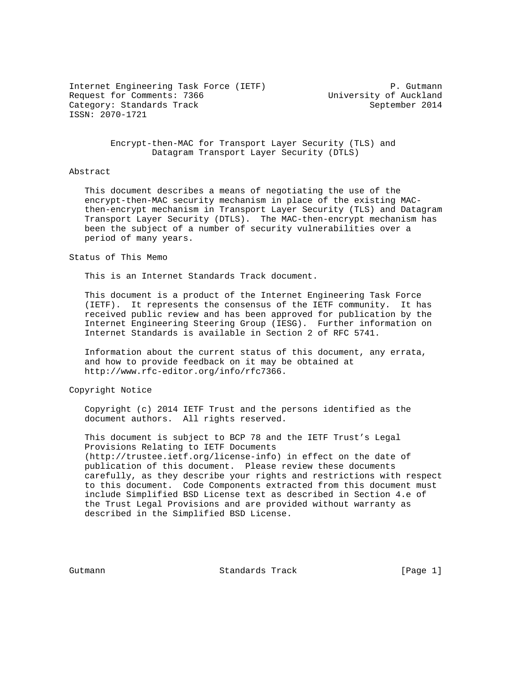Internet Engineering Task Force (IETF) P. Gutmann Request for Comments: 7366 University of Auckland Category: Standards Track September 2014 ISSN: 2070-1721

 Encrypt-then-MAC for Transport Layer Security (TLS) and Datagram Transport Layer Security (DTLS)

### Abstract

 This document describes a means of negotiating the use of the encrypt-then-MAC security mechanism in place of the existing MAC then-encrypt mechanism in Transport Layer Security (TLS) and Datagram Transport Layer Security (DTLS). The MAC-then-encrypt mechanism has been the subject of a number of security vulnerabilities over a period of many years.

Status of This Memo

This is an Internet Standards Track document.

 This document is a product of the Internet Engineering Task Force (IETF). It represents the consensus of the IETF community. It has received public review and has been approved for publication by the Internet Engineering Steering Group (IESG). Further information on Internet Standards is available in Section 2 of RFC 5741.

 Information about the current status of this document, any errata, and how to provide feedback on it may be obtained at http://www.rfc-editor.org/info/rfc7366.

Copyright Notice

 Copyright (c) 2014 IETF Trust and the persons identified as the document authors. All rights reserved.

 This document is subject to BCP 78 and the IETF Trust's Legal Provisions Relating to IETF Documents (http://trustee.ietf.org/license-info) in effect on the date of publication of this document. Please review these documents carefully, as they describe your rights and restrictions with respect to this document. Code Components extracted from this document must include Simplified BSD License text as described in Section 4.e of the Trust Legal Provisions and are provided without warranty as described in the Simplified BSD License.

Gutmann Standards Track [Page 1]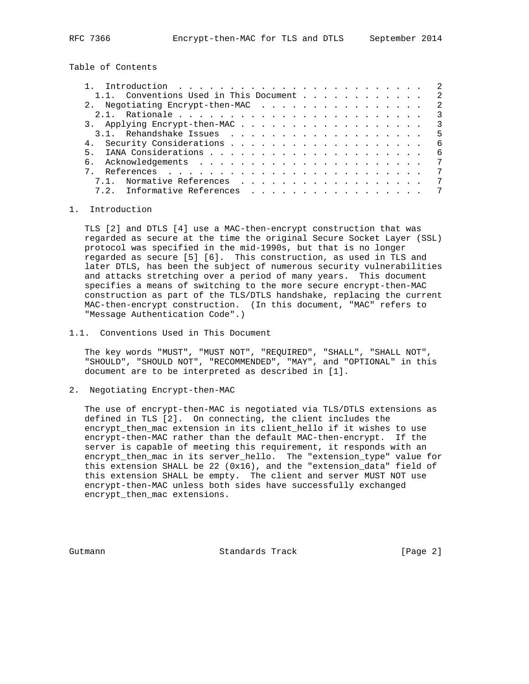Table of Contents

|                                          | $\overline{2}$            |
|------------------------------------------|---------------------------|
| 1.1. Conventions Used in This Document 2 |                           |
| 2. Negotiating Encrypt-then-MAC          | $\overline{2}$            |
|                                          | $\overline{\phantom{a}3}$ |
| 3. Applying Encrypt-then-MAC 3           |                           |
|                                          |                           |
|                                          | - 6                       |
| 5.                                       | - 6                       |
|                                          | 7                         |
|                                          | 7                         |
| 7.1. Normative References                | 7                         |
| Informative References<br>7 2            | 7                         |
|                                          |                           |

# 1. Introduction

 TLS [2] and DTLS [4] use a MAC-then-encrypt construction that was regarded as secure at the time the original Secure Socket Layer (SSL) protocol was specified in the mid-1990s, but that is no longer regarded as secure [5] [6]. This construction, as used in TLS and later DTLS, has been the subject of numerous security vulnerabilities and attacks stretching over a period of many years. This document specifies a means of switching to the more secure encrypt-then-MAC construction as part of the TLS/DTLS handshake, replacing the current MAC-then-encrypt construction. (In this document, "MAC" refers to "Message Authentication Code".)

1.1. Conventions Used in This Document

 The key words "MUST", "MUST NOT", "REQUIRED", "SHALL", "SHALL NOT", "SHOULD", "SHOULD NOT", "RECOMMENDED", "MAY", and "OPTIONAL" in this document are to be interpreted as described in [1].

2. Negotiating Encrypt-then-MAC

 The use of encrypt-then-MAC is negotiated via TLS/DTLS extensions as defined in TLS [2]. On connecting, the client includes the encrypt\_then\_mac extension in its client\_hello if it wishes to use encrypt-then-MAC rather than the default MAC-then-encrypt. If the server is capable of meeting this requirement, it responds with an encrypt\_then\_mac in its server\_hello. The "extension\_type" value for this extension SHALL be 22 (0x16), and the "extension\_data" field of this extension SHALL be empty. The client and server MUST NOT use encrypt-then-MAC unless both sides have successfully exchanged encrypt\_then\_mac extensions.

Gutmann Standards Track [Page 2]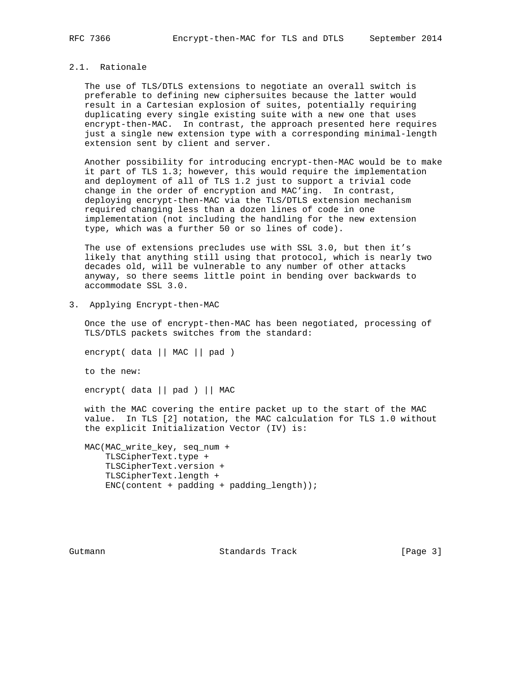# 2.1. Rationale

 The use of TLS/DTLS extensions to negotiate an overall switch is preferable to defining new ciphersuites because the latter would result in a Cartesian explosion of suites, potentially requiring duplicating every single existing suite with a new one that uses encrypt-then-MAC. In contrast, the approach presented here requires just a single new extension type with a corresponding minimal-length extension sent by client and server.

 Another possibility for introducing encrypt-then-MAC would be to make it part of TLS 1.3; however, this would require the implementation and deployment of all of TLS 1.2 just to support a trivial code change in the order of encryption and MAC'ing. In contrast, deploying encrypt-then-MAC via the TLS/DTLS extension mechanism required changing less than a dozen lines of code in one implementation (not including the handling for the new extension type, which was a further 50 or so lines of code).

 The use of extensions precludes use with SSL 3.0, but then it's likely that anything still using that protocol, which is nearly two decades old, will be vulnerable to any number of other attacks anyway, so there seems little point in bending over backwards to accommodate SSL 3.0.

3. Applying Encrypt-then-MAC

 Once the use of encrypt-then-MAC has been negotiated, processing of TLS/DTLS packets switches from the standard:

encrypt( data || MAC || pad )

to the new:

encrypt( data || pad ) || MAC

 with the MAC covering the entire packet up to the start of the MAC value. In TLS [2] notation, the MAC calculation for TLS 1.0 without the explicit Initialization Vector (IV) is:

 MAC(MAC\_write\_key, seq\_num + TLSCipherText.type + TLSCipherText.version + TLSCipherText.length +  $ENC(content + padding + padding_length));$ 

Gutmann **Standards Track** [Page 3]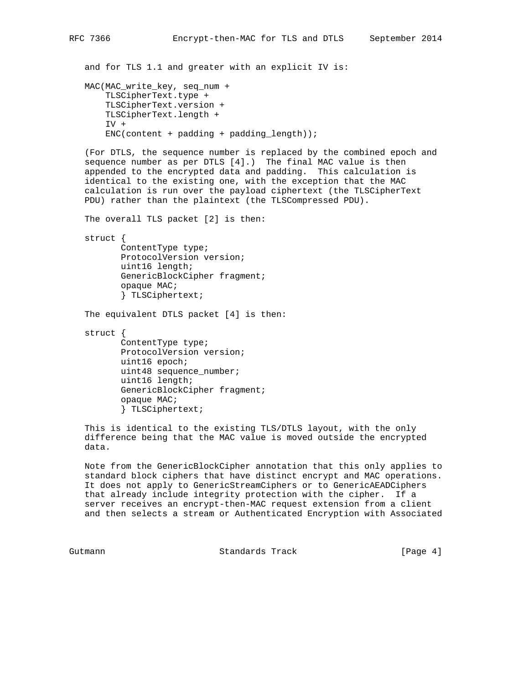and for TLS 1.1 and greater with an explicit IV is: MAC(MAC\_write\_key, seq\_num + TLSCipherText.type + TLSCipherText.version + TLSCipherText.length + IV +  $ENC(content + padding + padding_length));$  (For DTLS, the sequence number is replaced by the combined epoch and sequence number as per DTLS [4].) The final MAC value is then appended to the encrypted data and padding. This calculation is identical to the existing one, with the exception that the MAC calculation is run over the payload ciphertext (the TLSCipherText PDU) rather than the plaintext (the TLSCompressed PDU).

The overall TLS packet [2] is then:

struct {

 ContentType type; ProtocolVersion version; uint16 length; GenericBlockCipher fragment; opaque MAC; } TLSCiphertext;

The equivalent DTLS packet [4] is then:

 struct { ContentType type; ProtocolVersion version; uint16 epoch; uint48 sequence\_number; uint16 length; GenericBlockCipher fragment; opaque MAC; } TLSCiphertext;

 This is identical to the existing TLS/DTLS layout, with the only difference being that the MAC value is moved outside the encrypted data.

 Note from the GenericBlockCipher annotation that this only applies to standard block ciphers that have distinct encrypt and MAC operations. It does not apply to GenericStreamCiphers or to GenericAEADCiphers that already include integrity protection with the cipher. If a server receives an encrypt-then-MAC request extension from a client and then selects a stream or Authenticated Encryption with Associated

Gutmann Standards Track [Page 4]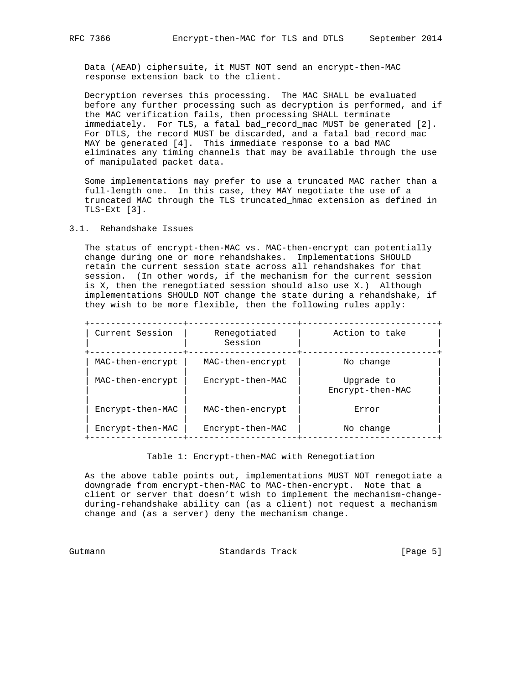Data (AEAD) ciphersuite, it MUST NOT send an encrypt-then-MAC response extension back to the client.

 Decryption reverses this processing. The MAC SHALL be evaluated before any further processing such as decryption is performed, and if the MAC verification fails, then processing SHALL terminate immediately. For TLS, a fatal bad\_record\_mac MUST be generated [2]. For DTLS, the record MUST be discarded, and a fatal bad\_record\_mac MAY be generated [4]. This immediate response to a bad MAC eliminates any timing channels that may be available through the use of manipulated packet data.

 Some implementations may prefer to use a truncated MAC rather than a full-length one. In this case, they MAY negotiate the use of a truncated MAC through the TLS truncated\_hmac extension as defined in TLS-Ext [3].

# 3.1. Rehandshake Issues

 The status of encrypt-then-MAC vs. MAC-then-encrypt can potentially change during one or more rehandshakes. Implementations SHOULD retain the current session state across all rehandshakes for that session. (In other words, if the mechanism for the current session is X, then the renegotiated session should also use X.) Although implementations SHOULD NOT change the state during a rehandshake, if they wish to be more flexible, then the following rules apply:

 +------------------+---------------------+--------------------------+ | Current Session | Renegotiated | Action to take | | | Session | | +------------------+---------------------+--------------------------+ | MAC-then-encrypt | MAC-then-encrypt | No change | | | | |  $\begin{array}{|c|c|c|c|}\hline \texttt{MAC–then-encrypt} & \texttt{Encrypt-then-MAC} & \texttt{Upgrade to} \end{array}$  | | | Encrypt-then-MAC | | | | | | Encrypt-then-MAC | MAC-then-encrypt | Error | | | | | | Encrypt-then-MAC | Encrypt-then-MAC | No change | +------------------+---------------------+--------------------------+

# Table 1: Encrypt-then-MAC with Renegotiation

 As the above table points out, implementations MUST NOT renegotiate a downgrade from encrypt-then-MAC to MAC-then-encrypt. Note that a client or server that doesn't wish to implement the mechanism-change during-rehandshake ability can (as a client) not request a mechanism change and (as a server) deny the mechanism change.

Gutmann Standards Track [Page 5]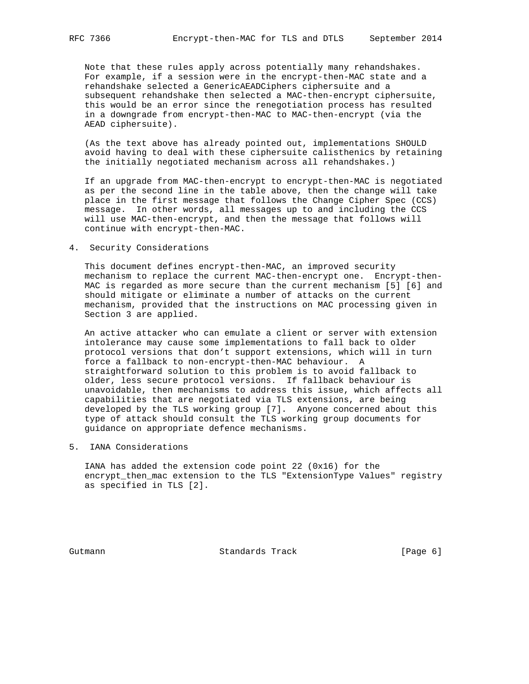Note that these rules apply across potentially many rehandshakes. For example, if a session were in the encrypt-then-MAC state and a rehandshake selected a GenericAEADCiphers ciphersuite and a subsequent rehandshake then selected a MAC-then-encrypt ciphersuite, this would be an error since the renegotiation process has resulted in a downgrade from encrypt-then-MAC to MAC-then-encrypt (via the AEAD ciphersuite).

 (As the text above has already pointed out, implementations SHOULD avoid having to deal with these ciphersuite calisthenics by retaining the initially negotiated mechanism across all rehandshakes.)

 If an upgrade from MAC-then-encrypt to encrypt-then-MAC is negotiated as per the second line in the table above, then the change will take place in the first message that follows the Change Cipher Spec (CCS) message. In other words, all messages up to and including the CCS will use MAC-then-encrypt, and then the message that follows will continue with encrypt-then-MAC.

4. Security Considerations

 This document defines encrypt-then-MAC, an improved security mechanism to replace the current MAC-then-encrypt one. Encrypt-then- MAC is regarded as more secure than the current mechanism [5] [6] and should mitigate or eliminate a number of attacks on the current mechanism, provided that the instructions on MAC processing given in Section 3 are applied.

 An active attacker who can emulate a client or server with extension intolerance may cause some implementations to fall back to older protocol versions that don't support extensions, which will in turn force a fallback to non-encrypt-then-MAC behaviour. A straightforward solution to this problem is to avoid fallback to older, less secure protocol versions. If fallback behaviour is unavoidable, then mechanisms to address this issue, which affects all capabilities that are negotiated via TLS extensions, are being developed by the TLS working group [7]. Anyone concerned about this type of attack should consult the TLS working group documents for guidance on appropriate defence mechanisms.

5. IANA Considerations

 IANA has added the extension code point 22 (0x16) for the encrypt\_then\_mac extension to the TLS "ExtensionType Values" registry as specified in TLS [2].

Gutmann Standards Track [Page 6]